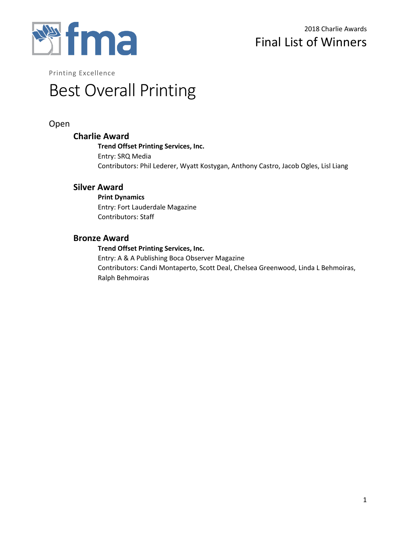

# Best Overall Printing

# Open

### **Charlie Award**

**Trend Offset Printing Services, Inc.** Entry: SRQ Media Contributors: Phil Lederer, Wyatt Kostygan, Anthony Castro, Jacob Ogles, Lisl Liang

## **Silver Award**

**Print Dynamics** Entry: Fort Lauderdale Magazine Contributors: Staff

## **Bronze Award**

**Trend Offset Printing Services, Inc.** Entry: A & A Publishing Boca Observer Magazine Contributors: Candi Montaperto, Scott Deal, Chelsea Greenwood, Linda L Behmoiras, Ralph Behmoiras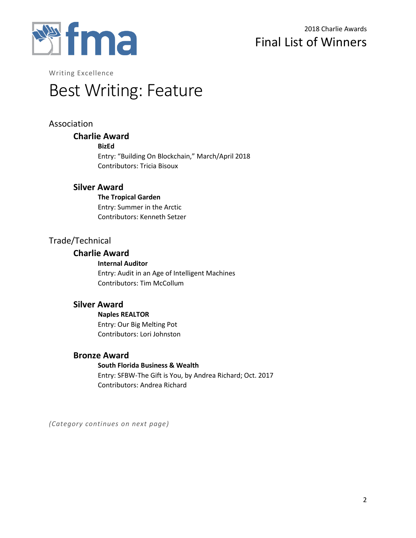

# Best Writing: Feature

# Association

# **Charlie Award**

**BizEd**

Entry: "Building On Blockchain," March/April 2018 Contributors: Tricia Bisoux

## **Silver Award**

**The Tropical Garden** Entry: Summer in the Arctic Contributors: Kenneth Setzer

# Trade/Technical

## **Charlie Award**

**Internal Auditor** Entry: Audit in an Age of Intelligent Machines Contributors: Tim McCollum

## **Silver Award**

**Naples REALTOR** Entry: Our Big Melting Pot

Contributors: Lori Johnston

# **Bronze Award**

#### **South Florida Business & Wealth**

Entry: SFBW-The Gift is You, by Andrea Richard; Oct. 2017 Contributors: Andrea Richard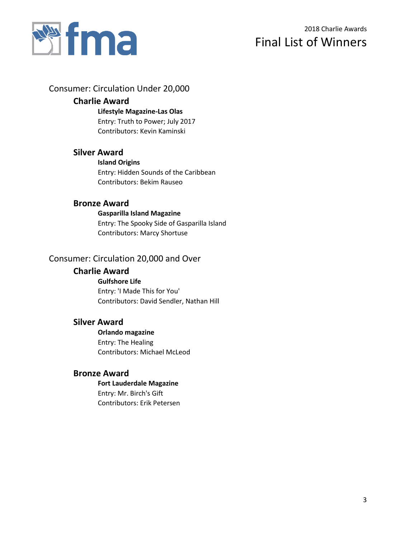

## Consumer: Circulation Under 20,000

## **Charlie Award**

**Lifestyle Magazine-Las Olas** Entry: Truth to Power; July 2017 Contributors: Kevin Kaminski

# **Silver Award**

**Island Origins** Entry: Hidden Sounds of the Caribbean Contributors: Bekim Rauseo

## **Bronze Award**

### **Gasparilla Island Magazine** Entry: The Spooky Side of Gasparilla Island Contributors: Marcy Shortuse

## Consumer: Circulation 20,000 and Over

# **Charlie Award**

#### **Gulfshore Life**

Entry: 'I Made This for You' Contributors: David Sendler, Nathan Hill

## **Silver Award**

### **Orlando magazine**

Entry: The Healing Contributors: Michael McLeod

## **Bronze Award**

**Fort Lauderdale Magazine** Entry: Mr. Birch's Gift

Contributors: Erik Petersen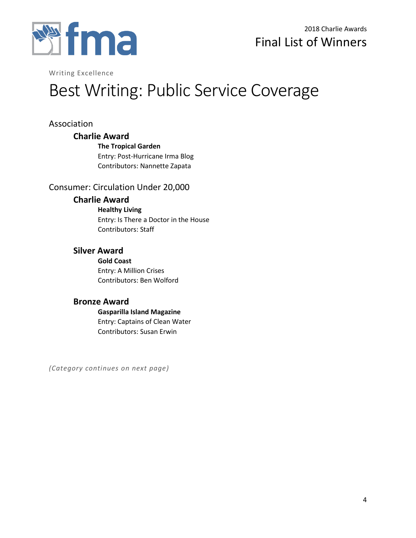

# Best Writing: Public Service Coverage

# Association

## **Charlie Award**

**The Tropical Garden** Entry: Post-Hurricane Irma Blog Contributors: Nannette Zapata

# Consumer: Circulation Under 20,000

## **Charlie Award**

**Healthy Living** Entry: Is There a Doctor in the House Contributors: Staff

# **Silver Award**

**Gold Coast** Entry: A Million Crises Contributors: Ben Wolford

# **Bronze Award**

**Gasparilla Island Magazine** Entry: Captains of Clean Water Contributors: Susan Erwin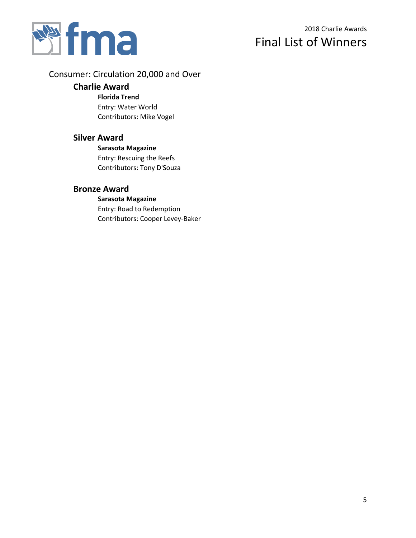

# Consumer: Circulation 20,000 and Over

### **Charlie Award**

**Florida Trend** Entry: Water World Contributors: Mike Vogel

## **Silver Award**

**Sarasota Magazine** Entry: Rescuing the Reefs Contributors: Tony D'Souza

## **Bronze Award**

**Sarasota Magazine** Entry: Road to Redemption Contributors: Cooper Levey-Baker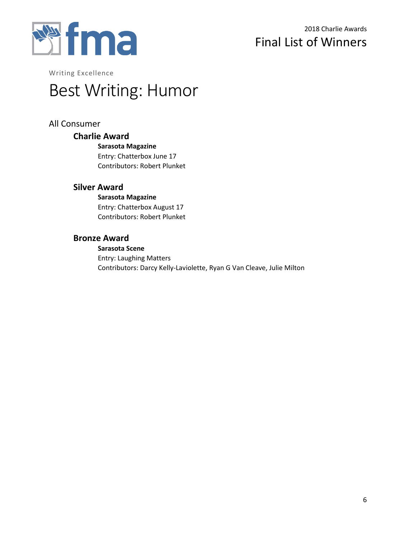

# Best Writing: Humor

# All Consumer

## **Charlie Award**

**Sarasota Magazine** Entry: Chatterbox June 17 Contributors: Robert Plunket

## **Silver Award**

**Sarasota Magazine** Entry: Chatterbox August 17 Contributors: Robert Plunket

## **Bronze Award**

#### **Sarasota Scene**

Entry: Laughing Matters Contributors: Darcy Kelly-Laviolette, Ryan G Van Cleave, Julie Milton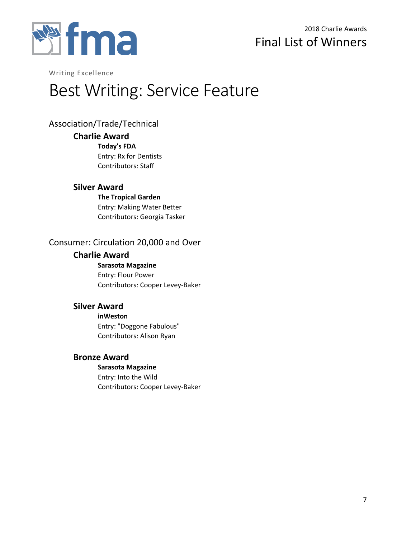

# Best Writing: Service Feature

# Association/Trade/Technical

## **Charlie Award**

**Today's FDA** Entry: Rx for Dentists Contributors: Staff

# **Silver Award**

**The Tropical Garden** Entry: Making Water Better Contributors: Georgia Tasker

# Consumer: Circulation 20,000 and Over

# **Charlie Award**

**Sarasota Magazine** Entry: Flour Power Contributors: Cooper Levey-Baker

# **Silver Award**

**inWeston** Entry: "Doggone Fabulous"

Contributors: Alison Ryan

# **Bronze Award**

**Sarasota Magazine** Entry: Into the Wild Contributors: Cooper Levey-Baker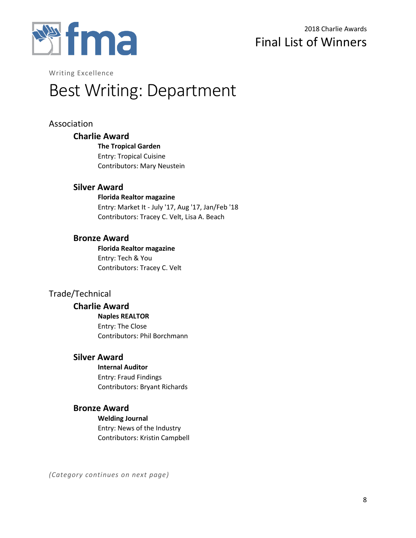

# Best Writing: Department

# Association

## **Charlie Award**

**The Tropical Garden** Entry: Tropical Cuisine

Contributors: Mary Neustein

## **Silver Award**

**Florida Realtor magazine**

Entry: Market It - July '17, Aug '17, Jan/Feb '18 Contributors: Tracey C. Velt, Lisa A. Beach

## **Bronze Award**

**Florida Realtor magazine** Entry: Tech & You Contributors: Tracey C. Velt

# Trade/Technical

## **Charlie Award**

**Naples REALTOR** Entry: The Close Contributors: Phil Borchmann

# **Silver Award**

**Internal Auditor** Entry: Fraud Findings Contributors: Bryant Richards

# **Bronze Award**

**Welding Journal** Entry: News of the Industry Contributors: Kristin Campbell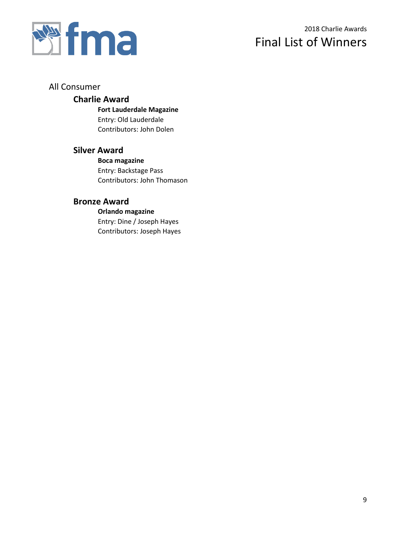

# 2018 Charlie Awards Final List of Winners

## All Consumer

## **Charlie Award**

**Fort Lauderdale Magazine** Entry: Old Lauderdale Contributors: John Dolen

# **Silver Award**

**Boca magazine** Entry: Backstage Pass Contributors: John Thomason

# **Bronze Award**

**Orlando magazine** Entry: Dine / Joseph Hayes Contributors: Joseph Hayes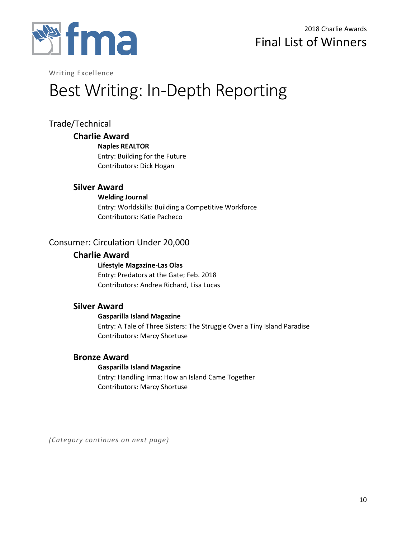

# Best Writing: In-Depth Reporting

# Trade/Technical

## **Charlie Award**

**Naples REALTOR**

Entry: Building for the Future Contributors: Dick Hogan

# **Silver Award**

**Welding Journal** Entry: Worldskills: Building a Competitive Workforce Contributors: Katie Pacheco

# Consumer: Circulation Under 20,000

## **Charlie Award**

**Lifestyle Magazine-Las Olas** Entry: Predators at the Gate; Feb. 2018 Contributors: Andrea Richard, Lisa Lucas

## **Silver Award**

#### **Gasparilla Island Magazine**

Entry: A Tale of Three Sisters: The Struggle Over a Tiny Island Paradise Contributors: Marcy Shortuse

## **Bronze Award**

#### **Gasparilla Island Magazine**

Entry: Handling Irma: How an Island Came Together Contributors: Marcy Shortuse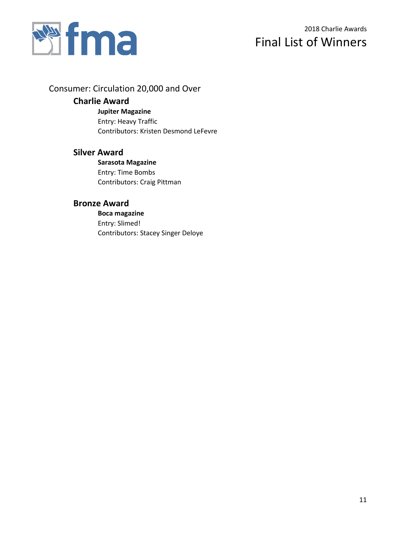

Consumer: Circulation 20,000 and Over

# **Charlie Award**

**Jupiter Magazine** Entry: Heavy Traffic

Contributors: Kristen Desmond LeFevre

# **Silver Award**

**Sarasota Magazine** Entry: Time Bombs Contributors: Craig Pittman

# **Bronze Award**

**Boca magazine** Entry: Slimed! Contributors: Stacey Singer Deloye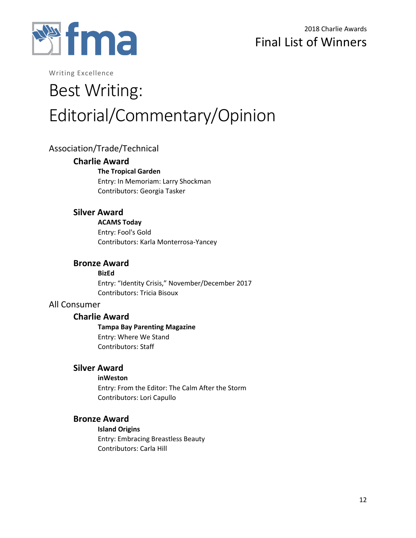

# Best Writing: Editorial/Commentary/Opinion

# Association/Trade/Technical

## **Charlie Award**

**The Tropical Garden**

Entry: In Memoriam: Larry Shockman Contributors: Georgia Tasker

# **Silver Award**

**ACAMS Today** Entry: Fool's Gold Contributors: Karla Monterrosa-Yancey

## **Bronze Award**

**BizEd** Entry: "Identity Crisis," November/December 2017 Contributors: Tricia Bisoux

# All Consumer

## **Charlie Award**

**Tampa Bay Parenting Magazine** Entry: Where We Stand Contributors: Staff

## **Silver Award**

**inWeston**

Entry: From the Editor: The Calm After the Storm Contributors: Lori Capullo

## **Bronze Award**

**Island Origins**

Entry: Embracing Breastless Beauty Contributors: Carla Hill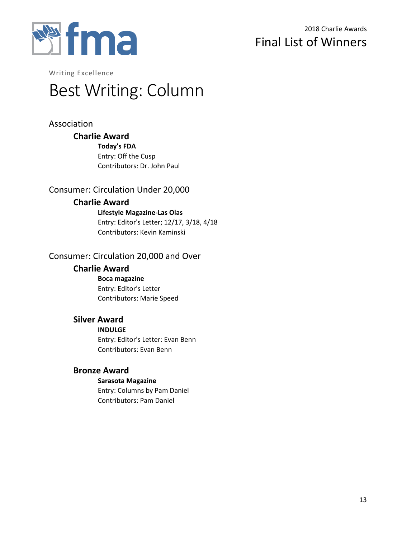

# Best Writing: Column

# Association

# **Charlie Award**

**Today's FDA** Entry: Off the Cusp Contributors: Dr. John Paul

# Consumer: Circulation Under 20,000

# **Charlie Award**

**Lifestyle Magazine-Las Olas** Entry: Editor's Letter; 12/17, 3/18, 4/18 Contributors: Kevin Kaminski

# Consumer: Circulation 20,000 and Over

## **Charlie Award**

**Boca magazine** Entry: Editor's Letter Contributors: Marie Speed

# **Silver Award**

**INDULGE**

Entry: Editor's Letter: Evan Benn Contributors: Evan Benn

# **Bronze Award**

#### **Sarasota Magazine**

Entry: Columns by Pam Daniel Contributors: Pam Daniel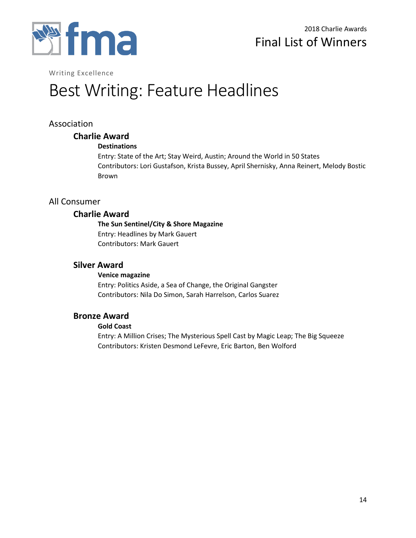

# Best Writing: Feature Headlines

# Association

## **Charlie Award**

#### **Destinations**

Entry: State of the Art; Stay Weird, Austin; Around the World in 50 States Contributors: Lori Gustafson, Krista Bussey, April Shernisky, Anna Reinert, Melody Bostic Brown

## All Consumer

## **Charlie Award**

# **The Sun Sentinel/City & Shore Magazine**

Entry: Headlines by Mark Gauert Contributors: Mark Gauert

# **Silver Award**

#### **Venice magazine**

Entry: Politics Aside, a Sea of Change, the Original Gangster Contributors: Nila Do Simon, Sarah Harrelson, Carlos Suarez

## **Bronze Award**

#### **Gold Coast**

Entry: A Million Crises; The Mysterious Spell Cast by Magic Leap; The Big Squeeze Contributors: Kristen Desmond LeFevre, Eric Barton, Ben Wolford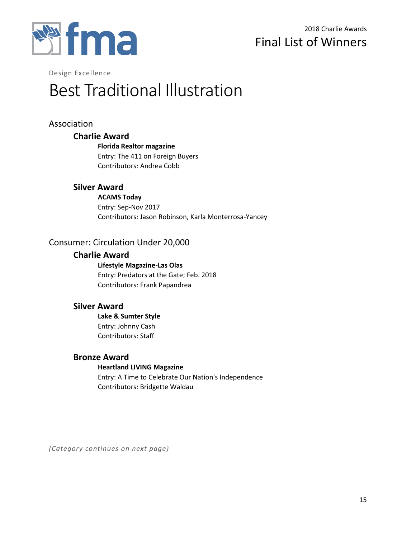

# Best Traditional Illustration

# Association

## **Charlie Award**

**Florida Realtor magazine** Entry: The 411 on Foreign Buyers Contributors: Andrea Cobb

# **Silver Award**

**ACAMS Today** Entry: Sep-Nov 2017 Contributors: Jason Robinson, Karla Monterrosa-Yancey

# Consumer: Circulation Under 20,000

## **Charlie Award**

**Lifestyle Magazine-Las Olas** Entry: Predators at the Gate; Feb. 2018 Contributors: Frank Papandrea

## **Silver Award**

**Lake & Sumter Style** Entry: Johnny Cash Contributors: Staff

## **Bronze Award**

## **Heartland LIVING Magazine**

Entry: A Time to Celebrate Our Nation's Independence Contributors: Bridgette Waldau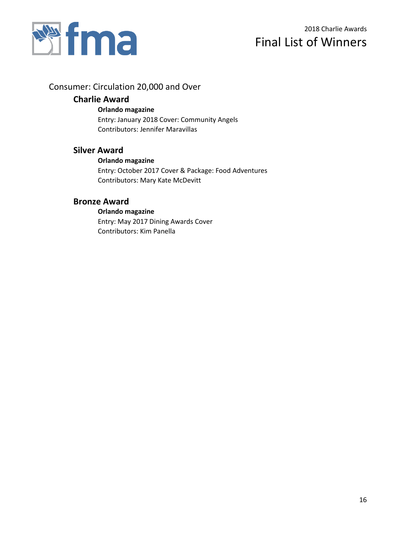

# Consumer: Circulation 20,000 and Over

# **Charlie Award**

### **Orlando magazine**

Entry: January 2018 Cover: Community Angels Contributors: Jennifer Maravillas

# **Silver Award**

### **Orlando magazine**

Entry: October 2017 Cover & Package: Food Adventures Contributors: Mary Kate McDevitt

## **Bronze Award**

### **Orlando magazine** Entry: May 2017 Dining Awards Cover Contributors: Kim Panella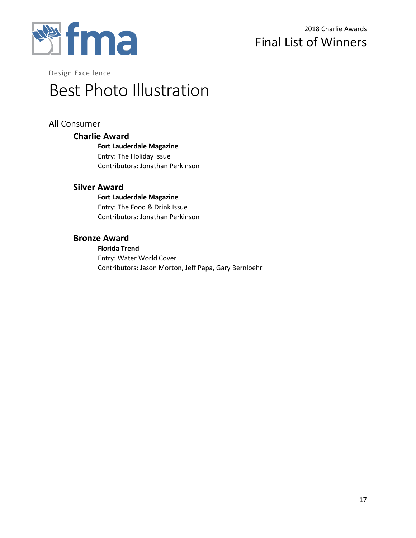

# Best Photo Illustration

# All Consumer

# **Charlie Award**

**Fort Lauderdale Magazine** Entry: The Holiday Issue Contributors: Jonathan Perkinson

## **Silver Award**

**Fort Lauderdale Magazine** Entry: The Food & Drink Issue Contributors: Jonathan Perkinson

## **Bronze Award**

#### **Florida Trend**

Entry: Water World Cover Contributors: Jason Morton, Jeff Papa, Gary Bernloehr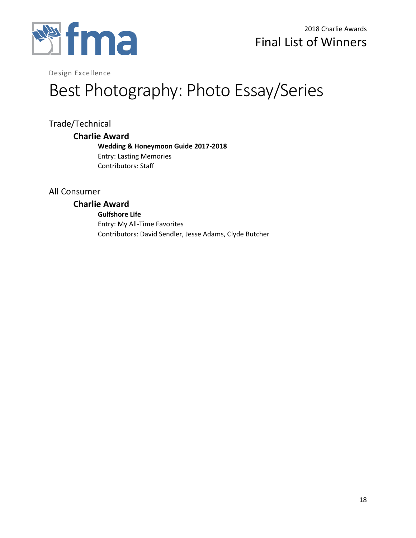

# Best Photography: Photo Essay/Series

Trade/Technical

## **Charlie Award**

**Wedding & Honeymoon Guide 2017-2018** Entry: Lasting Memories Contributors: Staff

# All Consumer

# **Charlie Award**

**Gulfshore Life** Entry: My All-Time Favorites Contributors: David Sendler, Jesse Adams, Clyde Butcher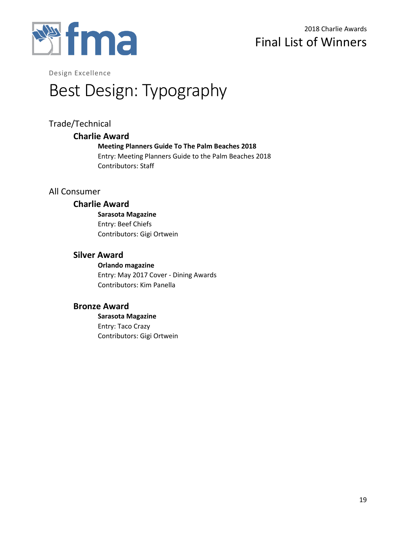

# Best Design: Typography

# Trade/Technical

## **Charlie Award**

**Meeting Planners Guide To The Palm Beaches 2018** Entry: Meeting Planners Guide to the Palm Beaches 2018 Contributors: Staff

# All Consumer

## **Charlie Award**

**Sarasota Magazine** Entry: Beef Chiefs Contributors: Gigi Ortwein

# **Silver Award**

**Orlando magazine** Entry: May 2017 Cover - Dining Awards Contributors: Kim Panella

## **Bronze Award**

**Sarasota Magazine** Entry: Taco Crazy Contributors: Gigi Ortwein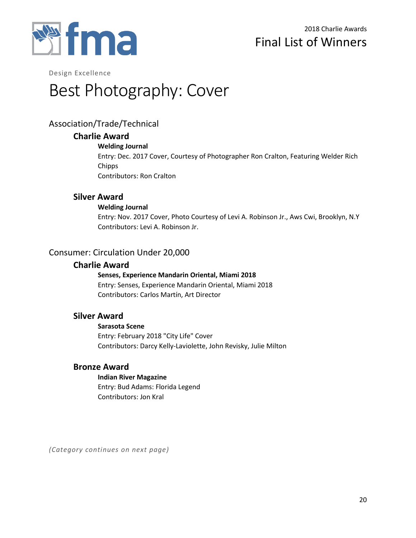

# Best Photography: Cover

# Association/Trade/Technical

## **Charlie Award**

### **Welding Journal**

Entry: Dec. 2017 Cover, Courtesy of Photographer Ron Cralton, Featuring Welder Rich **Chipps** Contributors: Ron Cralton

## **Silver Award**

### **Welding Journal**

Entry: Nov. 2017 Cover, Photo Courtesy of Levi A. Robinson Jr., Aws Cwi, Brooklyn, N.Y Contributors: Levi A. Robinson Jr.

# Consumer: Circulation Under 20,000

### **Charlie Award**

## **Senses, Experience Mandarin Oriental, Miami 2018**

Entry: Senses, Experience Mandarin Oriental, Miami 2018 Contributors: Carlos Martín, Art Director

## **Silver Award**

#### **Sarasota Scene**

Entry: February 2018 "City Life" Cover Contributors: Darcy Kelly-Laviolette, John Revisky, Julie Milton

## **Bronze Award**

# **Indian River Magazine**

Entry: Bud Adams: Florida Legend Contributors: Jon Kral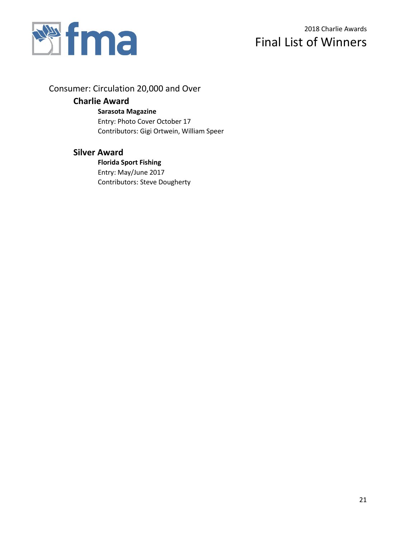

Consumer: Circulation 20,000 and Over

# **Charlie Award**

**Sarasota Magazine**

Entry: Photo Cover October 17 Contributors: Gigi Ortwein, William Speer

# **Silver Award**

**Florida Sport Fishing** Entry: May/June 2017 Contributors: Steve Dougherty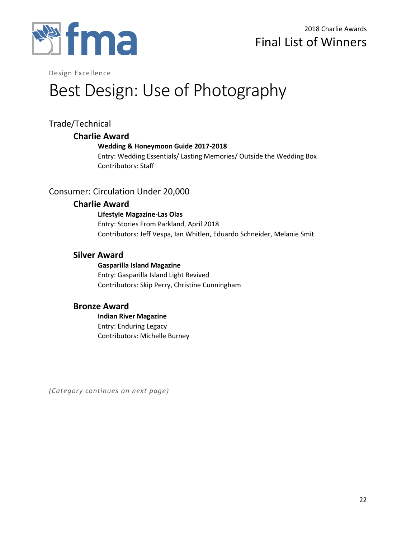

# Best Design: Use of Photography

# Trade/Technical

## **Charlie Award**

## **Wedding & Honeymoon Guide 2017-2018**

Entry: Wedding Essentials/ Lasting Memories/ Outside the Wedding Box Contributors: Staff

# Consumer: Circulation Under 20,000

## **Charlie Award**

**Lifestyle Magazine-Las Olas** Entry: Stories From Parkland, April 2018 Contributors: Jeff Vespa, Ian Whitlen, Eduardo Schneider, Melanie Smit

# **Silver Award**

**Gasparilla Island Magazine** Entry: Gasparilla Island Light Revived Contributors: Skip Perry, Christine Cunningham

# **Bronze Award**

**Indian River Magazine** Entry: Enduring Legacy Contributors: Michelle Burney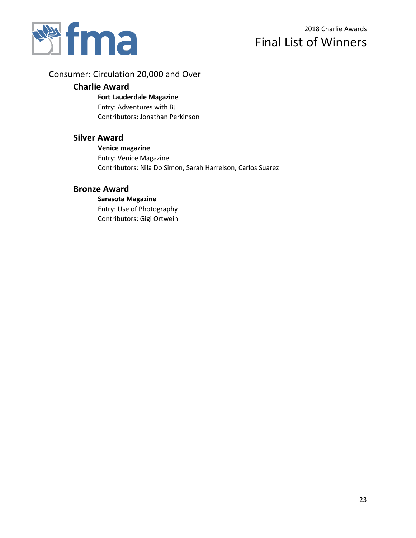

# Consumer: Circulation 20,000 and Over

## **Charlie Award**

#### **Fort Lauderdale Magazine**

Entry: Adventures with BJ Contributors: Jonathan Perkinson

## **Silver Award**

## **Venice magazine** Entry: Venice Magazine Contributors: Nila Do Simon, Sarah Harrelson, Carlos Suarez

## **Bronze Award**

**Sarasota Magazine** Entry: Use of Photography Contributors: Gigi Ortwein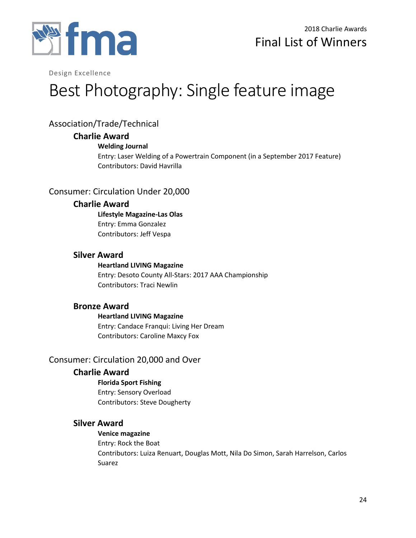

# Best Photography: Single feature image

# Association/Trade/Technical

## **Charlie Award**

### **Welding Journal**

Entry: Laser Welding of a Powertrain Component (in a September 2017 Feature) Contributors: David Havrilla

# Consumer: Circulation Under 20,000

## **Charlie Award**

**Lifestyle Magazine-Las Olas** Entry: Emma Gonzalez Contributors: Jeff Vespa

# **Silver Award**

**Heartland LIVING Magazine** Entry: Desoto County All-Stars: 2017 AAA Championship Contributors: Traci Newlin

## **Bronze Award**

**Heartland LIVING Magazine** Entry: Candace Franqui: Living Her Dream Contributors: Caroline Maxcy Fox

# Consumer: Circulation 20,000 and Over

# **Charlie Award**

**Florida Sport Fishing** Entry: Sensory Overload Contributors: Steve Dougherty

# **Silver Award**

**Venice magazine** Entry: Rock the Boat Contributors: Luiza Renuart, Douglas Mott, Nila Do Simon, Sarah Harrelson, Carlos Suarez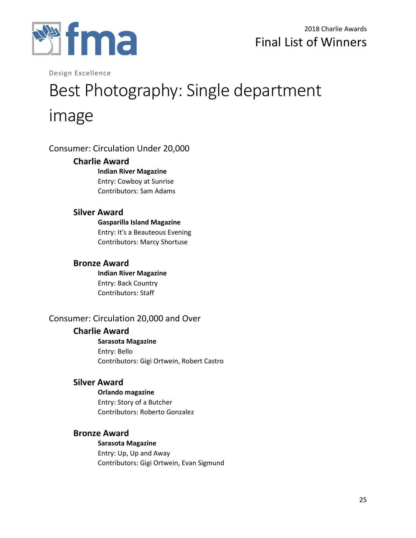

# Best Photography: Single department image

# Consumer: Circulation Under 20,000

## **Charlie Award**

**Indian River Magazine** Entry: Cowboy at Sunrise Contributors: Sam Adams

# **Silver Award**

**Gasparilla Island Magazine** Entry: It's a Beauteous Evening Contributors: Marcy Shortuse

# **Bronze Award**

**Indian River Magazine** Entry: Back Country Contributors: Staff

# Consumer: Circulation 20,000 and Over

# **Charlie Award**

**Sarasota Magazine** Entry: Bello Contributors: Gigi Ortwein, Robert Castro

# **Silver Award**

**Orlando magazine** Entry: Story of a Butcher Contributors: Roberto Gonzalez

# **Bronze Award**

**Sarasota Magazine** Entry: Up, Up and Away Contributors: Gigi Ortwein, Evan Sigmund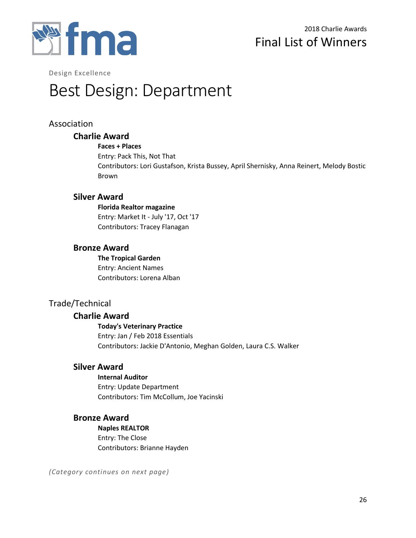

# Best Design: Department

# Association

## **Charlie Award**

#### **Faces + Places**

Entry: Pack This, Not That Contributors: Lori Gustafson, Krista Bussey, April Shernisky, Anna Reinert, Melody Bostic Brown

# **Silver Award**

**Florida Realtor magazine** Entry: Market It - July '17, Oct '17 Contributors: Tracey Flanagan

## **Bronze Award**

**The Tropical Garden** Entry: Ancient Names Contributors: Lorena Alban

# Trade/Technical

## **Charlie Award**

**Today's Veterinary Practice** Entry: Jan / Feb 2018 Essentials Contributors: Jackie D'Antonio, Meghan Golden, Laura C.S. Walker

## **Silver Award**

**Internal Auditor** Entry: Update Department Contributors: Tim McCollum, Joe Yacinski

## **Bronze Award**

**Naples REALTOR** Entry: The Close Contributors: Brianne Hayden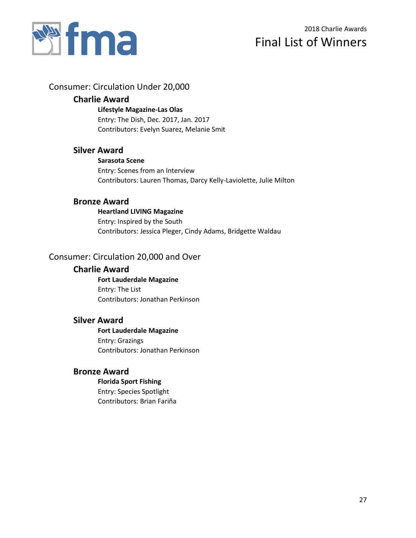

# 2018 Charlie Awards Final List of Winners

# Consumer: Circulation Under 20,000

## **Charlie Award**

**Lifestyle Magazine-Las Olas** Entry: The Dish, Dec. 2017, Jan. 2017 Contributors: Evelyn Suarez, Melanie Smit

# **Silver Award**

**Sarasota Scene**

Entry: Scenes from an Interview Contributors: Lauren Thomas, Darcy Kelly-Laviolette, Julie Milton

## **Bronze Award**

**Heartland LIVING Magazine** Entry: Inspired by the South Contributors: Jessica Pleger, Cindy Adams, Bridgette Waldau

# Consumer: Circulation 20,000 and Over

## **Charlie Award**

**Fort Lauderdale Magazine** Entry: The List Contributors: Jonathan Perkinson

## **Silver Award**

**Fort Lauderdale Magazine** Entry: Grazings Contributors: Jonathan Perkinson

# **Bronze Award**

#### **Florida Sport Fishing**

Entry: Species Spotlight Contributors: Brian Fariña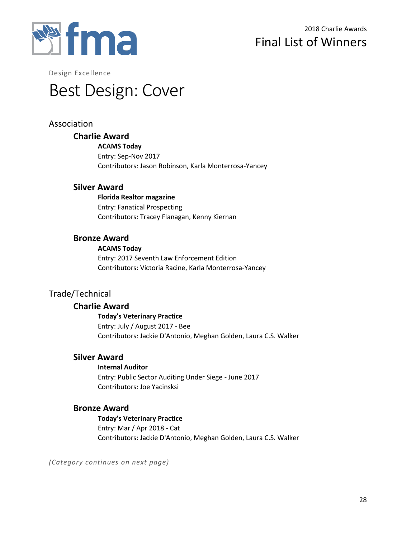

# Best Design: Cover

# Association

## **Charlie Award**

**ACAMS Today** Entry: Sep-Nov 2017 Contributors: Jason Robinson, Karla Monterrosa-Yancey

## **Silver Award**

**Florida Realtor magazine** Entry: Fanatical Prospecting Contributors: Tracey Flanagan, Kenny Kiernan

## **Bronze Award**

#### **ACAMS Today**

Entry: 2017 Seventh Law Enforcement Edition Contributors: Victoria Racine, Karla Monterrosa-Yancey

# Trade/Technical

## **Charlie Award**

**Today's Veterinary Practice** Entry: July / August 2017 - Bee Contributors: Jackie D'Antonio, Meghan Golden, Laura C.S. Walker

## **Silver Award**

#### **Internal Auditor**

Entry: Public Sector Auditing Under Siege - June 2017 Contributors: Joe Yacinsksi

## **Bronze Award**

**Today's Veterinary Practice** Entry: Mar / Apr 2018 - Cat Contributors: Jackie D'Antonio, Meghan Golden, Laura C.S. Walker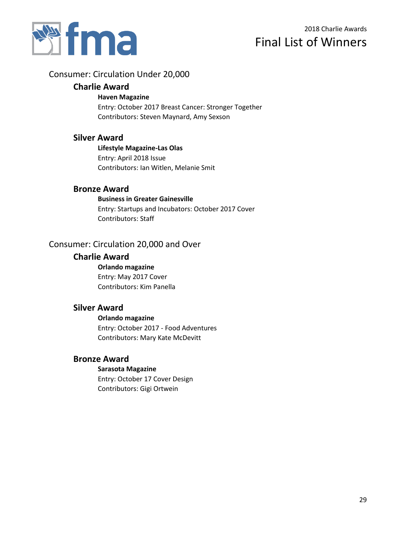

## Consumer: Circulation Under 20,000

#### **Charlie Award**

#### **Haven Magazine**

Entry: October 2017 Breast Cancer: Stronger Together Contributors: Steven Maynard, Amy Sexson

## **Silver Award**

**Lifestyle Magazine-Las Olas** Entry: April 2018 Issue Contributors: Ian Witlen, Melanie Smit

### **Bronze Award**

#### **Business in Greater Gainesville**

Entry: Startups and Incubators: October 2017 Cover Contributors: Staff

# Consumer: Circulation 20,000 and Over

#### **Charlie Award**

**Orlando magazine** Entry: May 2017 Cover Contributors: Kim Panella

## **Silver Award**

# **Orlando magazine**

Entry: October 2017 - Food Adventures Contributors: Mary Kate McDevitt

### **Bronze Award**

#### **Sarasota Magazine**

Entry: October 17 Cover Design Contributors: Gigi Ortwein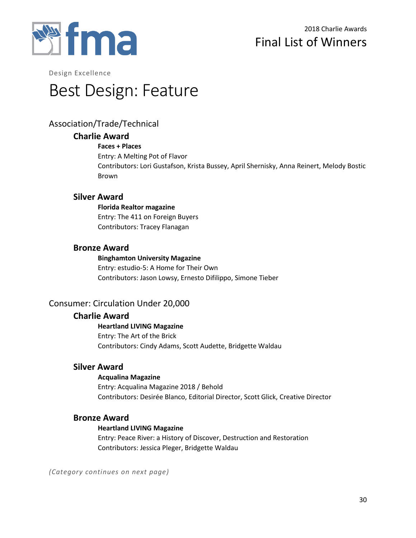

# Best Design: Feature

# Association/Trade/Technical

## **Charlie Award**

### **Faces + Places**

Entry: A Melting Pot of Flavor

Contributors: Lori Gustafson, Krista Bussey, April Shernisky, Anna Reinert, Melody Bostic Brown

## **Silver Award**

**Florida Realtor magazine** Entry: The 411 on Foreign Buyers Contributors: Tracey Flanagan

## **Bronze Award**

# **Binghamton University Magazine**

Entry: estudio-5: A Home for Their Own Contributors: Jason Lowsy, Ernesto Difilippo, Simone Tieber

# Consumer: Circulation Under 20,000

## **Charlie Award**

## **Heartland LIVING Magazine** Entry: The Art of the Brick Contributors: Cindy Adams, Scott Audette, Bridgette Waldau

## **Silver Award**

#### **Acqualina Magazine**

Entry: Acqualina Magazine 2018 / Behold Contributors: Desirée Blanco, Editorial Director, Scott Glick, Creative Director

## **Bronze Award**

#### **Heartland LIVING Magazine**

Entry: Peace River: a History of Discover, Destruction and Restoration Contributors: Jessica Pleger, Bridgette Waldau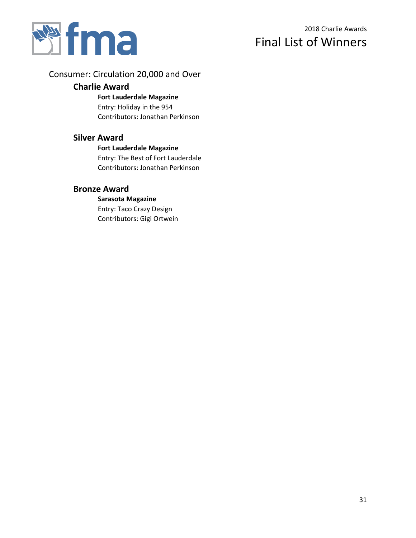

# Consumer: Circulation 20,000 and Over

## **Charlie Award**

#### **Fort Lauderdale Magazine**

Entry: Holiday in the 954 Contributors: Jonathan Perkinson

## **Silver Award**

#### **Fort Lauderdale Magazine**

Entry: The Best of Fort Lauderdale Contributors: Jonathan Perkinson

# **Bronze Award**

# **Sarasota Magazine**

Entry: Taco Crazy Design Contributors: Gigi Ortwein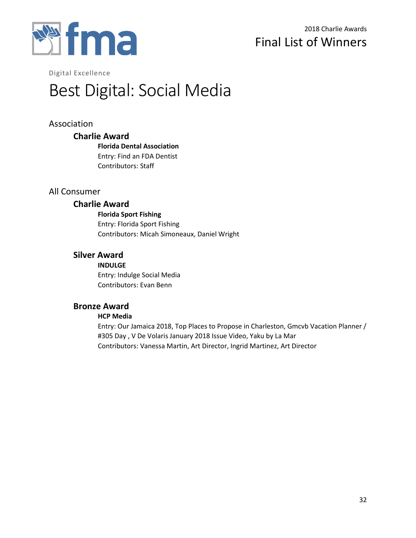

# 2018 Charlie Awards Final List of Winners

Digital Excellence

# Best Digital: Social Media

# Association

### **Charlie Award**

**Florida Dental Association** Entry: Find an FDA Dentist Contributors: Staff

## All Consumer

### **Charlie Award**

**Florida Sport Fishing** Entry: Florida Sport Fishing Contributors: Micah Simoneaux, Daniel Wright

## **Silver Award**

**INDULGE** Entry: Indulge Social Media Contributors: Evan Benn

#### **Bronze Award**

#### **HCP Media**

Entry: Our Jamaica 2018, Top Places to Propose in Charleston, Gmcvb Vacation Planner / #305 Day , V De Volaris January 2018 Issue Video, Yaku by La Mar Contributors: Vanessa Martin, Art Director, Ingrid Martinez, Art Director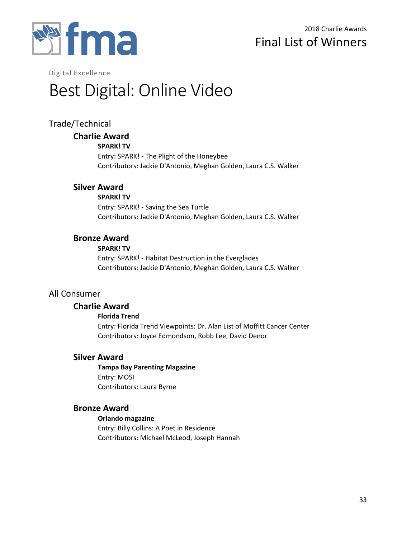

# 2018 Charlie Awards Final List of Winners

Digital Excellence

# Best Digital: Online Video

# Trade/Technical

## **Charlie Award**

#### **SPARK! TV**

Entry: SPARK! - The Plight of the Honeybee Contributors: Jackie D'Antonio, Meghan Golden, Laura C.S. Walker

## **Silver Award**

**SPARK! TV**

Entry: SPARK! - Saving the Sea Turtle Contributors: Jackie D'Antonio, Meghan Golden, Laura C.S. Walker

## **Bronze Award**

**SPARK! TV**

Entry: SPARK! - Habitat Destruction in the Everglades Contributors: Jackie D'Antonio, Meghan Golden, Laura C.S. Walker

## All Consumer

## **Charlie Award**

#### **Florida Trend**

Entry: Florida Trend Viewpoints: Dr. Alan List of Moffitt Cancer Center Contributors: Joyce Edmondson, Robb Lee, David Denor

## **Silver Award**

**Tampa Bay Parenting Magazine** Entry: MOSI Contributors: Laura Byrne

## **Bronze Award**

**Orlando magazine** Entry: Billy Collins: A Poet in Residence Contributors: Michael McLeod, Joseph Hannah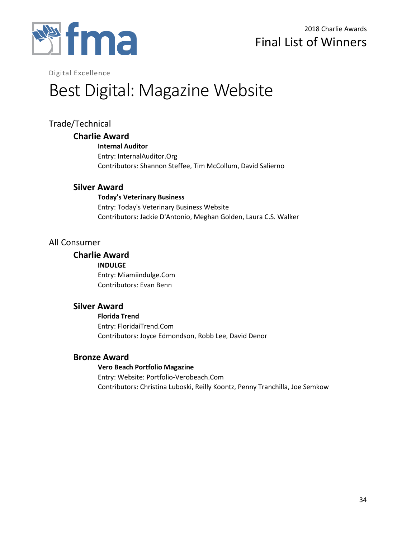

Digital Excellence

# Best Digital: Magazine Website

# Trade/Technical

## **Charlie Award**

**Internal Auditor** Entry: InternalAuditor.Org Contributors: Shannon Steffee, Tim McCollum, David Salierno

## **Silver Award**

#### **Today's Veterinary Business**

Entry: Today's Veterinary Business Website Contributors: Jackie D'Antonio, Meghan Golden, Laura C.S. Walker

## All Consumer

## **Charlie Award**

**INDULGE** Entry: Miamiindulge.Com Contributors: Evan Benn

## **Silver Award**

**Florida Trend** Entry: FloridaiTrend.Com Contributors: Joyce Edmondson, Robb Lee, David Denor

# **Bronze Award**

#### **Vero Beach Portfolio Magazine** Entry: Website: Portfolio-Verobeach.Com Contributors: Christina Luboski, Reilly Koontz, Penny Tranchilla, Joe Semkow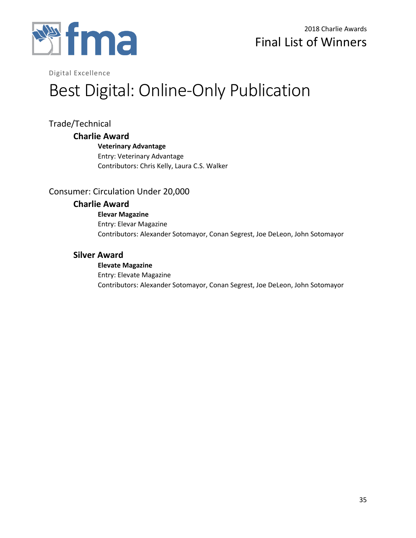

Digital Excellence

# Best Digital: Online-Only Publication

# Trade/Technical

## **Charlie Award**

## **Veterinary Advantage**

Entry: Veterinary Advantage Contributors: Chris Kelly, Laura C.S. Walker

# Consumer: Circulation Under 20,000

## **Charlie Award**

**Elevar Magazine** Entry: Elevar Magazine Contributors: Alexander Sotomayor, Conan Segrest, Joe DeLeon, John Sotomayor

# **Silver Award**

#### **Elevate Magazine** Entry: Elevate Magazine Contributors: Alexander Sotomayor, Conan Segrest, Joe DeLeon, John Sotomayor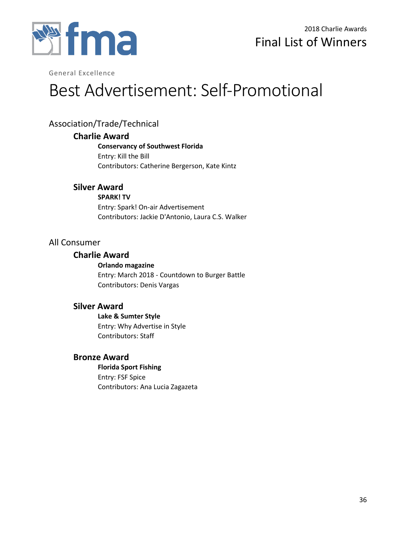

# Best Advertisement: Self-Promotional

# Association/Trade/Technical

## **Charlie Award**

**Conservancy of Southwest Florida** Entry: Kill the Bill Contributors: Catherine Bergerson, Kate Kintz

## **Silver Award**

**SPARK! TV** Entry: Spark! On-air Advertisement Contributors: Jackie D'Antonio, Laura C.S. Walker

## All Consumer

## **Charlie Award**

**Orlando magazine** Entry: March 2018 - Countdown to Burger Battle Contributors: Denis Vargas

## **Silver Award**

**Lake & Sumter Style** Entry: Why Advertise in Style Contributors: Staff

# **Bronze Award**

**Florida Sport Fishing** Entry: FSF Spice Contributors: Ana Lucia Zagazeta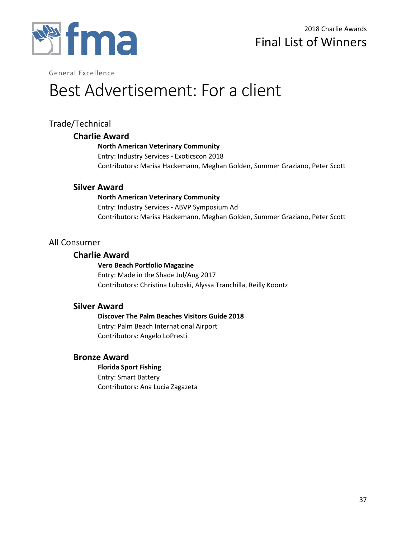

# Best Advertisement: For a client

# Trade/Technical

## **Charlie Award**

### **North American Veterinary Community**

Entry: Industry Services - Exoticscon 2018 Contributors: Marisa Hackemann, Meghan Golden, Summer Graziano, Peter Scott

## **Silver Award**

### **North American Veterinary Community**

Entry: Industry Services - ABVP Symposium Ad Contributors: Marisa Hackemann, Meghan Golden, Summer Graziano, Peter Scott

# All Consumer

## **Charlie Award**

#### **Vero Beach Portfolio Magazine** Entry: Made in the Shade Jul/Aug 2017 Contributors: Christina Luboski, Alyssa Tranchilla, Reilly Koontz

# **Silver Award**

**Discover The Palm Beaches Visitors Guide 2018** Entry: Palm Beach International Airport Contributors: Angelo LoPresti

# **Bronze Award**

**Florida Sport Fishing** Entry: Smart Battery Contributors: Ana Lucia Zagazeta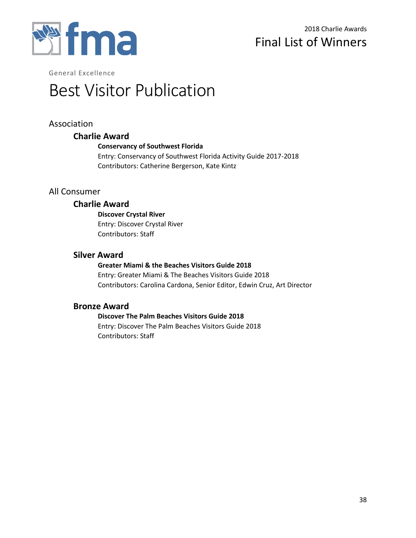

# Best Visitor Publication

# Association

## **Charlie Award**

#### **Conservancy of Southwest Florida**

Entry: Conservancy of Southwest Florida Activity Guide 2017-2018 Contributors: Catherine Bergerson, Kate Kintz

# All Consumer

## **Charlie Award**

**Discover Crystal River** Entry: Discover Crystal River Contributors: Staff

## **Silver Award**

### **Greater Miami & the Beaches Visitors Guide 2018**

Entry: Greater Miami & The Beaches Visitors Guide 2018 Contributors: Carolina Cardona, Senior Editor, Edwin Cruz, Art Director

## **Bronze Award**

### **Discover The Palm Beaches Visitors Guide 2018** Entry: Discover The Palm Beaches Visitors Guide 2018 Contributors: Staff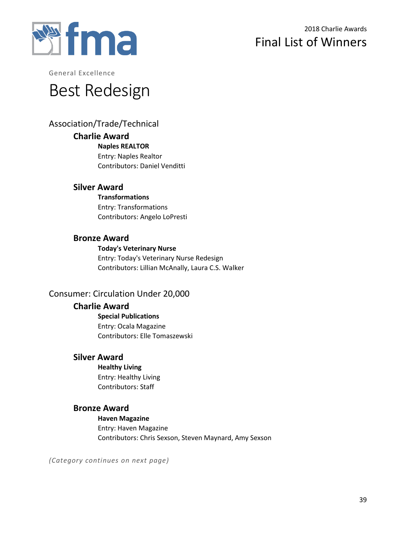

# Best Redesign

# Association/Trade/Technical

## **Charlie Award**

**Naples REALTOR** Entry: Naples Realtor Contributors: Daniel Venditti

## **Silver Award**

**Transformations** Entry: Transformations Contributors: Angelo LoPresti

## **Bronze Award**

**Today's Veterinary Nurse** Entry: Today's Veterinary Nurse Redesign Contributors: Lillian McAnally, Laura C.S. Walker

# Consumer: Circulation Under 20,000

# **Charlie Award**

**Special Publications** Entry: Ocala Magazine Contributors: Elle Tomaszewski

# **Silver Award**

**Healthy Living** Entry: Healthy Living Contributors: Staff

# **Bronze Award**

**Haven Magazine** Entry: Haven Magazine Contributors: Chris Sexson, Steven Maynard, Amy Sexson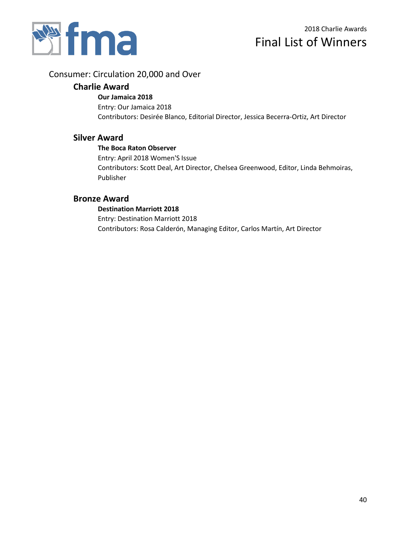

## Consumer: Circulation 20,000 and Over

## **Charlie Award**

#### **Our Jamaica 2018**

Entry: Our Jamaica 2018 Contributors: Desirée Blanco, Editorial Director, Jessica Becerra-Ortiz, Art Director

## **Silver Award**

#### **The Boca Raton Observer**

Entry: April 2018 Women'S Issue Contributors: Scott Deal, Art Director, Chelsea Greenwood, Editor, Linda Behmoiras, Publisher

## **Bronze Award**

## **Destination Marriott 2018** Entry: Destination Marriott 2018 Contributors: Rosa Calderón, Managing Editor, Carlos Martín, Art Director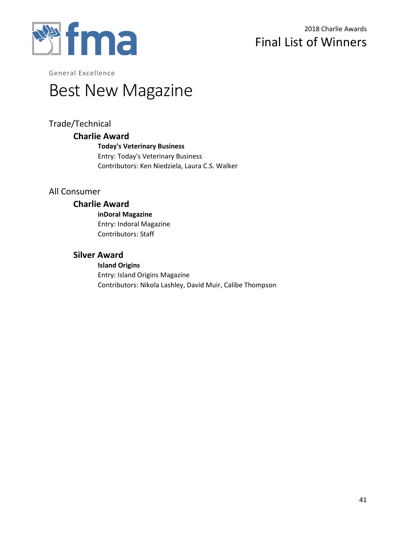

# Best New Magazine

# Trade/Technical

## **Charlie Award**

**Today's Veterinary Business** Entry: Today's Veterinary Business Contributors: Ken Niedziela, Laura C.S. Walker

# All Consumer

## **Charlie Award**

**inDoral Magazine** Entry: Indoral Magazine Contributors: Staff

# **Silver Award**

**Island Origins** Entry: Island Origins Magazine Contributors: Nikola Lashley, David Muir, Calibe Thompson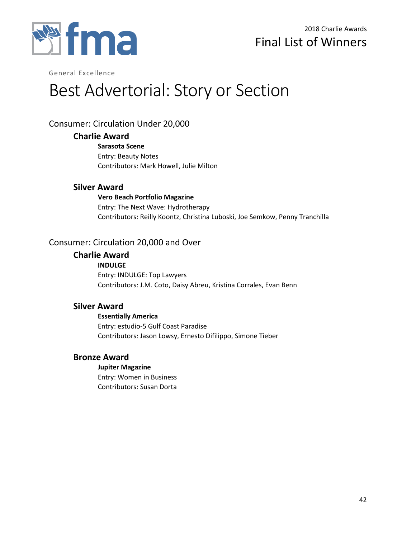

# Best Advertorial: Story or Section

# Consumer: Circulation Under 20,000

## **Charlie Award**

**Sarasota Scene** Entry: Beauty Notes Contributors: Mark Howell, Julie Milton

## **Silver Award**

**Vero Beach Portfolio Magazine** Entry: The Next Wave: Hydrotherapy Contributors: Reilly Koontz, Christina Luboski, Joe Semkow, Penny Tranchilla

# Consumer: Circulation 20,000 and Over

## **Charlie Award**

**INDULGE** Entry: INDULGE: Top Lawyers Contributors: J.M. Coto, Daisy Abreu, Kristina Corrales, Evan Benn

## **Silver Award**

**Essentially America** Entry: estudio-5 Gulf Coast Paradise Contributors: Jason Lowsy, Ernesto Difilippo, Simone Tieber

# **Bronze Award**

## **Jupiter Magazine**

Entry: Women in Business Contributors: Susan Dorta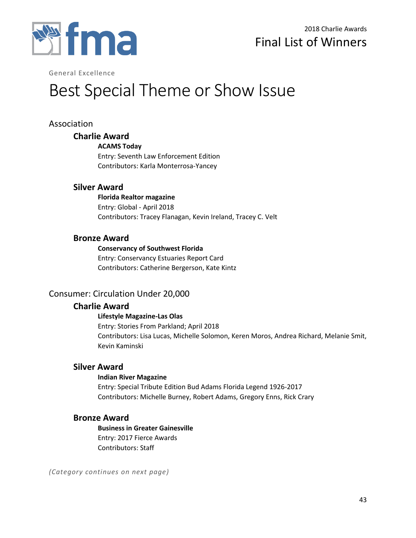

# Best Special Theme or Show Issue

# Association

# **Charlie Award**

**ACAMS Today**

Entry: Seventh Law Enforcement Edition Contributors: Karla Monterrosa-Yancey

## **Silver Award**

**Florida Realtor magazine** Entry: Global - April 2018 Contributors: Tracey Flanagan, Kevin Ireland, Tracey C. Velt

## **Bronze Award**

**Conservancy of Southwest Florida**

Entry: Conservancy Estuaries Report Card Contributors: Catherine Bergerson, Kate Kintz

# Consumer: Circulation Under 20,000

# **Charlie Award**

#### **Lifestyle Magazine-Las Olas**

Entry: Stories From Parkland; April 2018 Contributors: Lisa Lucas, Michelle Solomon, Keren Moros, Andrea Richard, Melanie Smit, Kevin Kaminski

## **Silver Award**

#### **Indian River Magazine**

Entry: Special Tribute Edition Bud Adams Florida Legend 1926-2017 Contributors: Michelle Burney, Robert Adams, Gregory Enns, Rick Crary

## **Bronze Award**

**Business in Greater Gainesville** Entry: 2017 Fierce Awards Contributors: Staff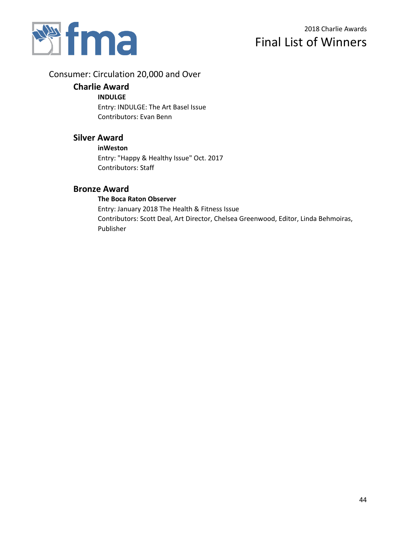

# Consumer: Circulation 20,000 and Over

## **Charlie Award**

#### **INDULGE**

Entry: INDULGE: The Art Basel Issue Contributors: Evan Benn

## **Silver Award**

#### **inWeston**

Entry: "Happy & Healthy Issue" Oct. 2017 Contributors: Staff

## **Bronze Award**

### **The Boca Raton Observer**

Entry: January 2018 The Health & Fitness Issue Contributors: Scott Deal, Art Director, Chelsea Greenwood, Editor, Linda Behmoiras, Publisher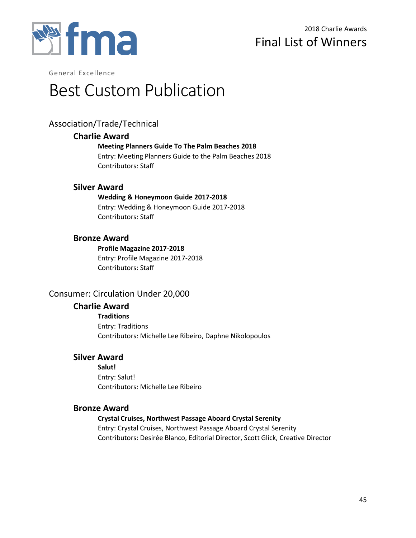

# Best Custom Publication

# Association/Trade/Technical

## **Charlie Award**

**Meeting Planners Guide To The Palm Beaches 2018**

Entry: Meeting Planners Guide to the Palm Beaches 2018 Contributors: Staff

# **Silver Award**

### **Wedding & Honeymoon Guide 2017-2018**

Entry: Wedding & Honeymoon Guide 2017-2018 Contributors: Staff

# **Bronze Award**

### **Profile Magazine 2017-2018**

Entry: Profile Magazine 2017-2018 Contributors: Staff

# Consumer: Circulation Under 20,000

# **Charlie Award**

**Traditions** Entry: Traditions Contributors: Michelle Lee Ribeiro, Daphne Nikolopoulos

# **Silver Award**

**Salut!** Entry: Salut! Contributors: Michelle Lee Ribeiro

# **Bronze Award**

# **Crystal Cruises, Northwest Passage Aboard Crystal Serenity**

Entry: Crystal Cruises, Northwest Passage Aboard Crystal Serenity Contributors: Desirée Blanco, Editorial Director, Scott Glick, Creative Director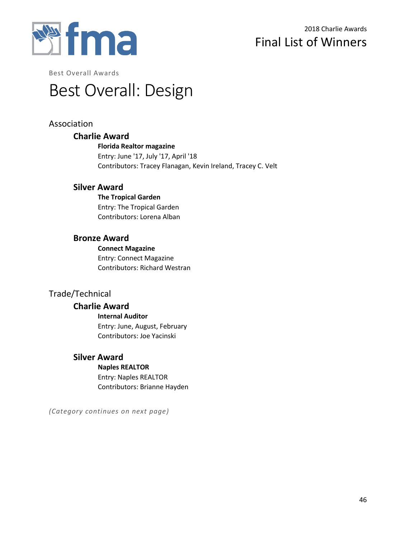

Best Overall Awards

# Best Overall: Design

# Association

## **Charlie Award**

**Florida Realtor magazine** Entry: June '17, July '17, April '18 Contributors: Tracey Flanagan, Kevin Ireland, Tracey C. Velt

## **Silver Award**

**The Tropical Garden** Entry: The Tropical Garden Contributors: Lorena Alban

## **Bronze Award**

**Connect Magazine** Entry: Connect Magazine Contributors: Richard Westran

# Trade/Technical

## **Charlie Award**

**Internal Auditor** Entry: June, August, February Contributors: Joe Yacinski

# **Silver Award**

**Naples REALTOR** Entry: Naples REALTOR Contributors: Brianne Hayden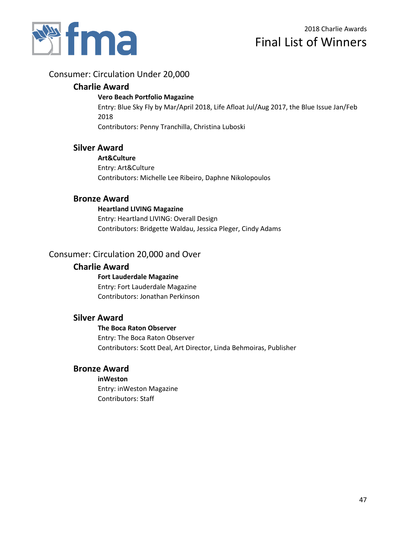

# Consumer: Circulation Under 20,000

## **Charlie Award**

#### **Vero Beach Portfolio Magazine**

Entry: Blue Sky Fly by Mar/April 2018, Life Afloat Jul/Aug 2017, the Blue Issue Jan/Feb 2018

Contributors: Penny Tranchilla, Christina Luboski

## **Silver Award**

#### **Art&Culture**

Entry: Art&Culture Contributors: Michelle Lee Ribeiro, Daphne Nikolopoulos

## **Bronze Award**

#### **Heartland LIVING Magazine**

Entry: Heartland LIVING: Overall Design Contributors: Bridgette Waldau, Jessica Pleger, Cindy Adams

## Consumer: Circulation 20,000 and Over

#### **Charlie Award**

**Fort Lauderdale Magazine** Entry: Fort Lauderdale Magazine Contributors: Jonathan Perkinson

### **Silver Award**

#### **The Boca Raton Observer**

Entry: The Boca Raton Observer Contributors: Scott Deal, Art Director, Linda Behmoiras, Publisher

## **Bronze Award**

**inWeston** Entry: inWeston Magazine Contributors: Staff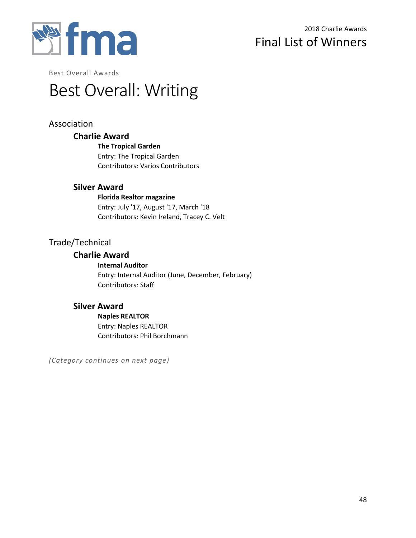

Best Overall Awards

# Best Overall: Writing

# Association

## **Charlie Award**

**The Tropical Garden** Entry: The Tropical Garden Contributors: Varios Contributors

## **Silver Award**

**Florida Realtor magazine** Entry: July '17, August '17, March '18 Contributors: Kevin Ireland, Tracey C. Velt

# Trade/Technical

## **Charlie Award**

**Internal Auditor** Entry: Internal Auditor (June, December, February) Contributors: Staff

## **Silver Award**

**Naples REALTOR** Entry: Naples REALTOR Contributors: Phil Borchmann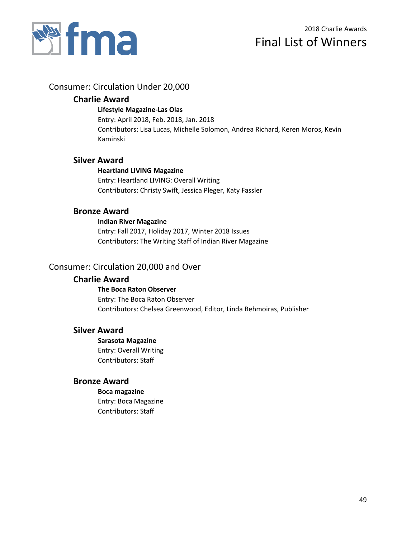

# Consumer: Circulation Under 20,000

## **Charlie Award**

#### **Lifestyle Magazine-Las Olas**

Entry: April 2018, Feb. 2018, Jan. 2018 Contributors: Lisa Lucas, Michelle Solomon, Andrea Richard, Keren Moros, Kevin Kaminski

## **Silver Award**

#### **Heartland LIVING Magazine** Entry: Heartland LIVING: Overall Writing Contributors: Christy Swift, Jessica Pleger, Katy Fassler

## **Bronze Award**

#### **Indian River Magazine**

Entry: Fall 2017, Holiday 2017, Winter 2018 Issues Contributors: The Writing Staff of Indian River Magazine

## Consumer: Circulation 20,000 and Over

## **Charlie Award**

**The Boca Raton Observer** Entry: The Boca Raton Observer Contributors: Chelsea Greenwood, Editor, Linda Behmoiras, Publisher

## **Silver Award**

**Sarasota Magazine** Entry: Overall Writing Contributors: Staff

## **Bronze Award**

#### **Boca magazine**

Entry: Boca Magazine Contributors: Staff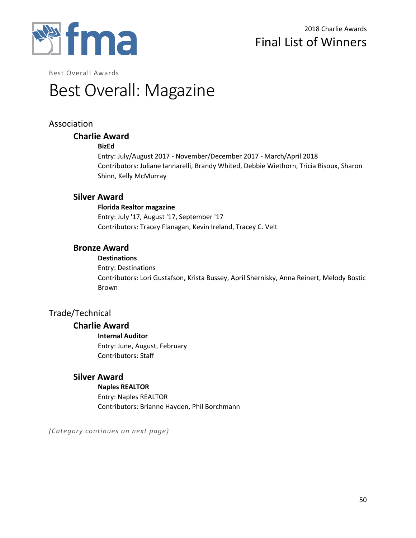

Best Overall Awards

# Best Overall: Magazine

# Association

## **Charlie Award**

#### **BizEd**

Entry: July/August 2017 - November/December 2017 - March/April 2018 Contributors: Juliane Iannarelli, Brandy Whited, Debbie Wiethorn, Tricia Bisoux, Sharon Shinn, Kelly McMurray

## **Silver Award**

#### **Florida Realtor magazine**

Entry: July '17, August '17, September '17 Contributors: Tracey Flanagan, Kevin Ireland, Tracey C. Velt

## **Bronze Award**

#### **Destinations**

Entry: Destinations Contributors: Lori Gustafson, Krista Bussey, April Shernisky, Anna Reinert, Melody Bostic Brown

# Trade/Technical

# **Charlie Award**

#### **Internal Auditor**

Entry: June, August, February Contributors: Staff

# **Silver Award**

#### **Naples REALTOR**

Entry: Naples REALTOR Contributors: Brianne Hayden, Phil Borchmann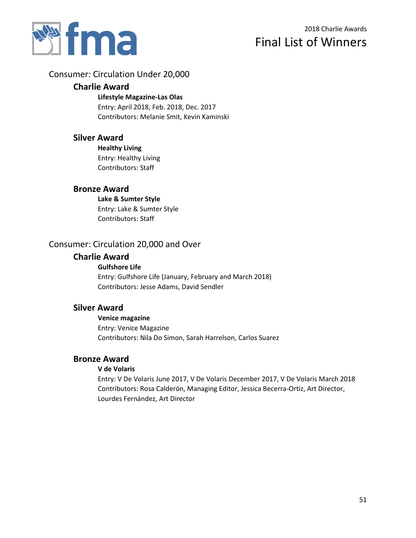

# 2018 Charlie Awards Final List of Winners

## Consumer: Circulation Under 20,000

### **Charlie Award**

#### **Lifestyle Magazine-Las Olas**

Entry: April 2018, Feb. 2018, Dec. 2017 Contributors: Melanie Smit, Kevin Kaminski

#### **Silver Award**

**Healthy Living** Entry: Healthy Living Contributors: Staff

### **Bronze Award**

**Lake & Sumter Style** Entry: Lake & Sumter Style Contributors: Staff

# Consumer: Circulation 20,000 and Over

#### **Charlie Award**

#### **Gulfshore Life**

Entry: Gulfshore Life (January, February and March 2018) Contributors: Jesse Adams, David Sendler

### **Silver Award**

**Venice magazine** Entry: Venice Magazine Contributors: Nila Do Simon, Sarah Harrelson, Carlos Suarez

#### **Bronze Award**

#### **V de Volaris**

Entry: V De Volaris June 2017, V De Volaris December 2017, V De Volaris March 2018 Contributors: Rosa Calderón, Managing Editor, Jessica Becerra-Ortiz, Art Director, Lourdes Fernández, Art Director